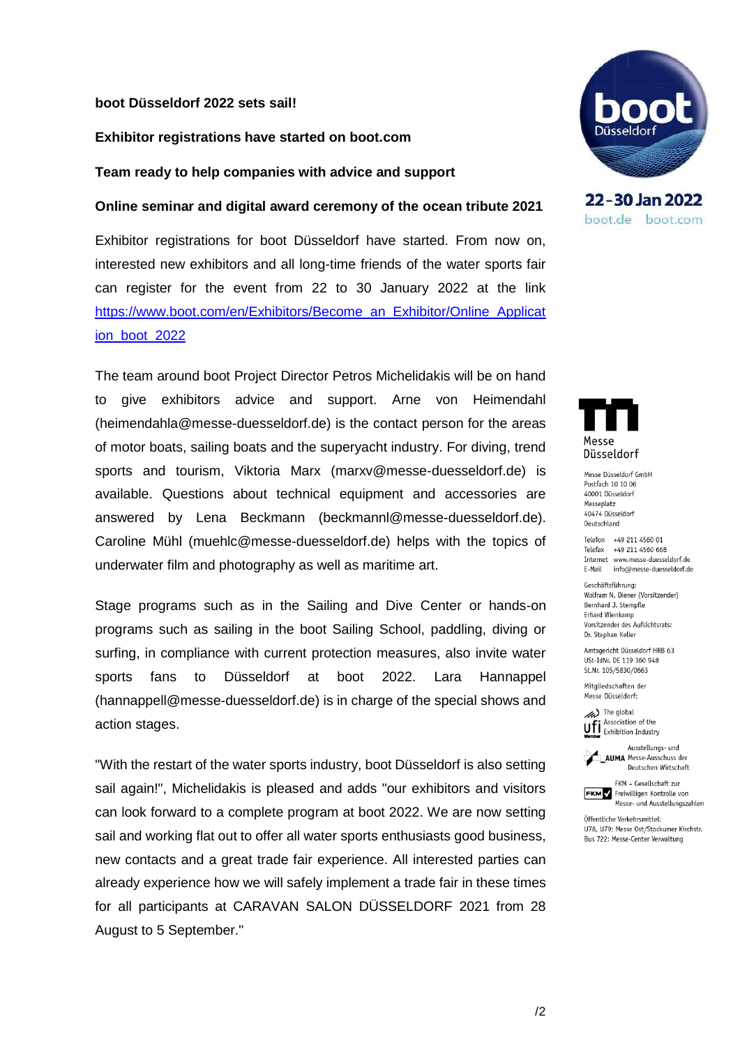### **boot Düsseldorf 2022 sets sail!**

#### **Exhibitor registrations have started on boot.com**

**Team ready to help companies with advice and support**

#### **Online seminar and digital award ceremony of the ocean tribute 2021**

Exhibitor registrations for boot Düsseldorf have started. From now on, interested new exhibitors and all long-time friends of the water sports fair can register for the event from 22 to 30 January 2022 at the link [https://www.boot.com/en/Exhibitors/Become\\_an\\_Exhibitor/Online\\_Applicat](https://www.boot.com/en/Exhibitors/Become_an_Exhibitor/Online_Application_boot_2022) [ion\\_boot\\_2022](https://www.boot.com/en/Exhibitors/Become_an_Exhibitor/Online_Application_boot_2022)

The team around boot Project Director Petros Michelidakis will be on hand to give exhibitors advice and support. Arne von Heimendahl (heimendahla@messe-duesseldorf.de) is the contact person for the areas of motor boats, sailing boats and the superyacht industry. For diving, trend sports and tourism, Viktoria Marx (marxv@messe-duesseldorf.de) is available. Questions about technical equipment and accessories are answered by Lena Beckmann (beckmannl@messe-duesseldorf.de). Caroline Mühl (muehlc@messe-duesseldorf.de) helps with the topics of underwater film and photography as well as maritime art.

Stage programs such as in the Sailing and Dive Center or hands-on programs such as sailing in the boot Sailing School, paddling, diving or surfing, in compliance with current protection measures, also invite water sports fans to Düsseldorf at boot 2022. Lara Hannappel (hannappell@messe-duesseldorf.de) is in charge of the special shows and action stages.

"With the restart of the water sports industry, boot Düsseldorf is also setting sail again!", Michelidakis is pleased and adds "our exhibitors and visitors can look forward to a complete program at boot 2022. We are now setting sail and working flat out to offer all water sports enthusiasts good business, new contacts and a great trade fair experience. All interested parties can already experience how we will safely implement a trade fair in these times for all participants at CARAVAN SALON DÜSSELDORF 2021 from 28 August to 5 September."



22-30 Jan 2022 boot.de boot.com



Messe Düsseldorf GmbH Postfach 10 10 06 40001 Düsseldorf Messeplatz 40474 Düsseldorf Deutschland

Telefon +49 211 4560 01 Telefax +49 211 4560 668 Internet www.messe-duesseldorf.de E-Mail info@messe-duesseldorf.de

Geschäftsführung: Wolfram N. Diener (Vorsitzender) Bernhard J. Stempfle Erhard Wienkamp Vorsitzender des Aufsichtsrats: Dr. Stephan Keller

Amtsgericht Düsseldorf HRB 63 USt-IdNr. DE 119 360 948 St.Nr. 105/5830/0663

Mitaliedschaften der Messe Düsseldorf:

The global Ufi Association of the



FKM - Gesellschaft zur



Öffentliche Verkehrsmittel: U78, U79: Messe Ost/Stockumer Kirchstr. Bus 722: Messe-Center Verwaltung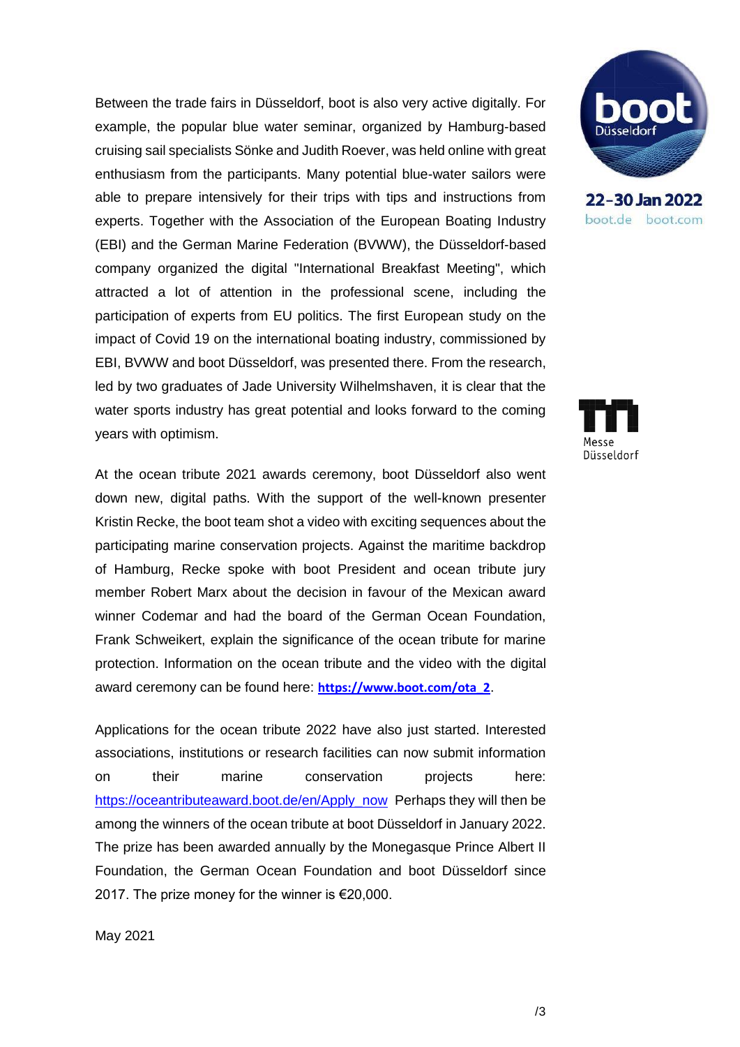Between the trade fairs in Düsseldorf, boot is also very active digitally. For example, the popular blue water seminar, organized by Hamburg-based cruising sail specialists Sönke and Judith Roever, was held online with great enthusiasm from the participants. Many potential blue-water sailors were able to prepare intensively for their trips with tips and instructions from experts. Together with the Association of the European Boating Industry (EBI) and the German Marine Federation (BVWW), the Düsseldorf-based company organized the digital "International Breakfast Meeting", which attracted a lot of attention in the professional scene, including the participation of experts from EU politics. The first European study on the impact of Covid 19 on the international boating industry, commissioned by EBI, BVWW and boot Düsseldorf, was presented there. From the research, led by two graduates of Jade University Wilhelmshaven, it is clear that the water sports industry has great potential and looks forward to the coming years with optimism.

At the ocean tribute 2021 awards ceremony, boot Düsseldorf also went down new, digital paths. With the support of the well-known presenter Kristin Recke, the boot team shot a video with exciting sequences about the participating marine conservation projects. Against the maritime backdrop of Hamburg, Recke spoke with boot President and ocean tribute jury member Robert Marx about the decision in favour of the Mexican award winner Codemar and had the board of the German Ocean Foundation, Frank Schweikert, explain the significance of the ocean tribute for marine protection. Information on the ocean tribute and the video with the digital award ceremony can be found here: **[https://www.boot.com/ota\\_2](https://www.boot.com/ota_2)**.

Applications for the ocean tribute 2022 have also just started. Interested associations, institutions or research facilities can now submit information on their marine conservation projects here: [https://oceantributeaward.boot.de/en/Apply\\_now](https://oceantributeaward.boot.de/en/Apply_now) Perhaps they will then be among the winners of the ocean tribute at boot Düsseldorf in January 2022. The prize has been awarded annually by the Monegasque Prince Albert II Foundation, the German Ocean Foundation and boot Düsseldorf since 2017. The prize money for the winner is €20,000.



22-30 Jan 2022 boot.de boot.com



May 2021